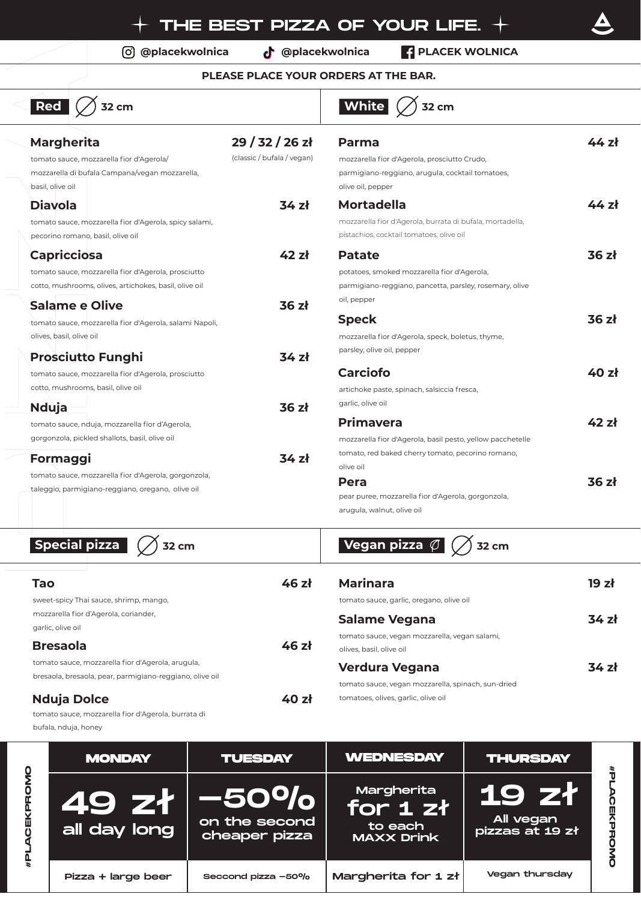**@placekwolnica @placekwolnica PLACEK WOLNICA**

## **PLEASE PLACE YOUR ORDERS AT THE BAR.**

| $\boxed{\mathsf{Red}}$<br><b>32 cm</b>                                                                                                |                                             | White<br>32 cm                                                                                                                         |       |
|---------------------------------------------------------------------------------------------------------------------------------------|---------------------------------------------|----------------------------------------------------------------------------------------------------------------------------------------|-------|
| <b>Margherita</b><br>tomato sauce, mozzarella fior d'Agerola/<br>mozzarella di bufala Campana/vegan mozzarella,<br>basil, olive oil   | $29/32/26$ zł<br>(classic / bufala / vegan) | Parma<br>mozzarella fior d'Agerola, prosciutto Crudo,<br>parmigiano-reggiano, arugula, cocktail tomatoes,<br>olive oil, pepper         | 44 zł |
| <b>Diavola</b><br>tomato sauce, mozzarella fior d'Agerola, spicy salami,<br>pecorino romano, basil, olive oil                         | 34z                                         | <b>Mortadella</b><br>mozzarella fior d'Agerola, burrata di bufala, mortadella,<br>pistachios, cocktail tomatoes, olive oil             | 44 zł |
| <b>Capricciosa</b><br>tomato sauce, mozzarella fior d'Agerola, prosciutto<br>cotto, mushrooms, olives, artichokes, basil, olive oil   | 42 zł                                       | <b>Patate</b><br>potatoes, smoked mozzarella fior d'Agerola,<br>parmigiano-reggiano, pancetta, parsley, rosemary, olive<br>oil, pepper | 36 zł |
| Salame e Olive<br>tomato sauce, mozzarella fior d'Agerola, salami Napoli,<br>olives, basil, olive oil                                 | 36z<br>34 zł                                | <b>Speck</b><br>mozzarella fior d'Agerola, speck, boletus, thyme,<br>parsley, olive oil, pepper                                        | 36 zł |
| <b>Prosciutto Funghi</b><br>tomato sauce, mozzarella fior d'Agerola, prosciutto<br>cotto, mushrooms, basil, olive oil<br><b>Nduja</b> | 36z                                         | <b>Carciofo</b><br>artichoke paste, spinach, salsiccia fresca,<br>garlic, olive oil                                                    | 40 zł |
| tomato sauce, nduja, mozzarella fior d'Agerola,<br>gorgonzola, pickled shallots, basil, olive oil<br>Formaggi                         | 34 zł                                       | <b>Primavera</b><br>mozzarella fior d'Agerola, basil pesto, yellow pacchetelle<br>tomato, red baked cherry tomato, pecorino romano,    | 42 zł |
| tomato sauce, mozzarella fior d'Agerola, gorgonzola,<br>taleggio, parmigiano-reggiano, oregano, olive oil                             |                                             | olive oil<br><b>Pera</b><br>pear puree, mozzarella fior d'Agerola, gorgonzola,<br>arugula, walnut, olive oil                           | 36 zł |
|                                                                                                                                       |                                             |                                                                                                                                        |       |

**Special pizza**  $\varnothing$  32 cm **Tao 46 zł** sweet-spicy Thai sauce, shrimp, mango, mozzarella fior d'Agerola, coriander, garlic, olive oil **Bresaola 46 zł** tomato sauce, mozzarella fior d'Agerola, arugula, bresaola, bresaola, pear, parmigiano-reggiano, olive oil **Marinara 19 zł** tomato sauce, garlic, oregano, olive oil **Salame Vegana 34 zł** tomato sauce, vegan mozzarella, vegan salami, olives, basil, olive oil **Verdura Vegana 34 zł** tomato sauce, vegan mozzarella, spinach, sun-dried **Vegan pizza**  $\varnothing$   $\oslash$  32 cm

**Nduja Dolce 40 zł** tomatoes, olives, garlic, olive oil

tomato sauce, mozzarella fior d'Agerola, burrata di bufala, nduja, honey

| $\overline{\mathbf{0}}$ | <b>MONDAY</b>                                                                   | <b>TUESDAY</b>                                   | <b>WEDNESDAY</b>                                       | <b>THURSDAY</b>                              |  |
|-------------------------|---------------------------------------------------------------------------------|--------------------------------------------------|--------------------------------------------------------|----------------------------------------------|--|
| 面                       | <b>49 zł.</b><br>$\overline{\phantom{a}}$ all day long $\overline{\phantom{a}}$ | $-50^{o}/_{o}$<br>on the second<br>cheaper pizza | Margherita<br>for 1 zł<br>to each<br><b>MAXX Drink</b> | <b>19 zł</b><br>All vegan<br>pizzas at 19 zł |  |
|                         | Pizza + large beer                                                              | Seccond pizza -50%                               | Margherita for 1 zł                                    | <b>Vegan thursday</b>                        |  |